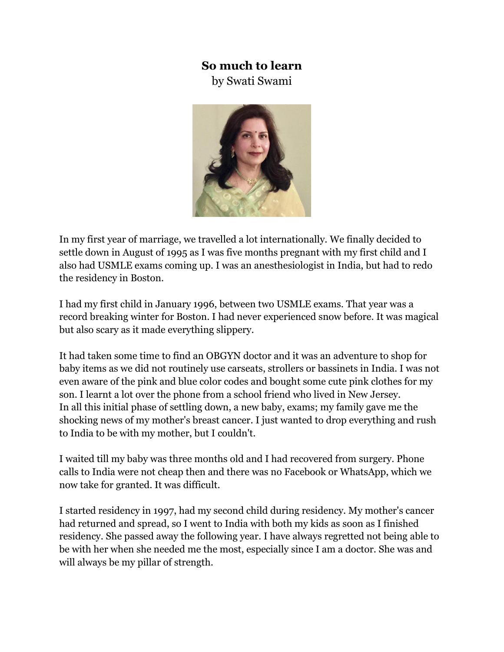## **So much to learn**

by Swati Swami



In my first year of marriage, we travelled a lot internationally. We finally decided to settle down in August of 1995 as I was five months pregnant with my first child and I also had USMLE exams coming up. I was an anesthesiologist in India, but had to redo the residency in Boston.

I had my first child in January 1996, between two USMLE exams. That year was a record breaking winter for Boston. I had never experienced snow before. It was magical but also scary as it made everything slippery.

It had taken some time to find an OBGYN doctor and it was an adventure to shop for baby items as we did not routinely use carseats, strollers or bassinets in India. I was not even aware of the pink and blue color codes and bought some cute pink clothes for my son. I learnt a lot over the phone from a school friend who lived in New Jersey. In all this initial phase of settling down, a new baby, exams; my family gave me the shocking news of my mother's breast cancer. I just wanted to drop everything and rush to India to be with my mother, but I couldn't.

I waited till my baby was three months old and I had recovered from surgery. Phone calls to India were not cheap then and there was no Facebook or WhatsApp, which we now take for granted. It was difficult.

I started residency in 1997, had my second child during residency. My mother's cancer had returned and spread, so I went to India with both my kids as soon as I finished residency. She passed away the following year. I have always regretted not being able to be with her when she needed me the most, especially since I am a doctor. She was and will always be my pillar of strength.